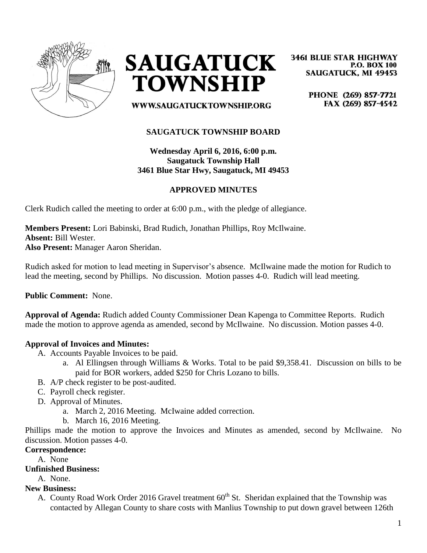



**3461 BLUE STAR HIGHWAY P.O. BOX 100 SAUGATUCK, MI 49453** 

> PHONE (269) 857-7721 FAX (269) 857-4542

**WWW.SAUGATUCKTOWNSHIP.ORG** 

# **SAUGATUCK TOWNSHIP BOARD**

**Wednesday April 6, 2016, 6:00 p.m. Saugatuck Township Hall 3461 Blue Star Hwy, Saugatuck, MI 49453**

### **APPROVED MINUTES**

Clerk Rudich called the meeting to order at 6:00 p.m., with the pledge of allegiance.

**Members Present:** Lori Babinski, Brad Rudich, Jonathan Phillips, Roy McIlwaine. **Absent:** Bill Wester. **Also Present:** Manager Aaron Sheridan.

Rudich asked for motion to lead meeting in Supervisor's absence. McIlwaine made the motion for Rudich to lead the meeting, second by Phillips. No discussion. Motion passes 4-0. Rudich will lead meeting.

**Public Comment:** None.

**Approval of Agenda:** Rudich added County Commissioner Dean Kapenga to Committee Reports. Rudich made the motion to approve agenda as amended, second by McIlwaine. No discussion. Motion passes 4-0.

### **Approval of Invoices and Minutes:**

- A. Accounts Payable Invoices to be paid.
	- a. Al Ellingsen through Williams & Works. Total to be paid \$9,358.41. Discussion on bills to be paid for BOR workers, added \$250 for Chris Lozano to bills.
- B. A/P check register to be post-audited.
- C. Payroll check register.
- D. Approval of Minutes.
	- a. March 2, 2016 Meeting. McIwaine added correction.
	- b. March 16, 2016 Meeting.

Phillips made the motion to approve the Invoices and Minutes as amended, second by McIlwaine. No discussion. Motion passes 4-0.

#### **Correspondence:**

A. None

**Unfinished Business:**

A. None.

#### **New Business:**

A. County Road Work Order 2016 Gravel treatment 60<sup>th</sup> St. Sheridan explained that the Township was contacted by Allegan County to share costs with Manlius Township to put down gravel between 126th